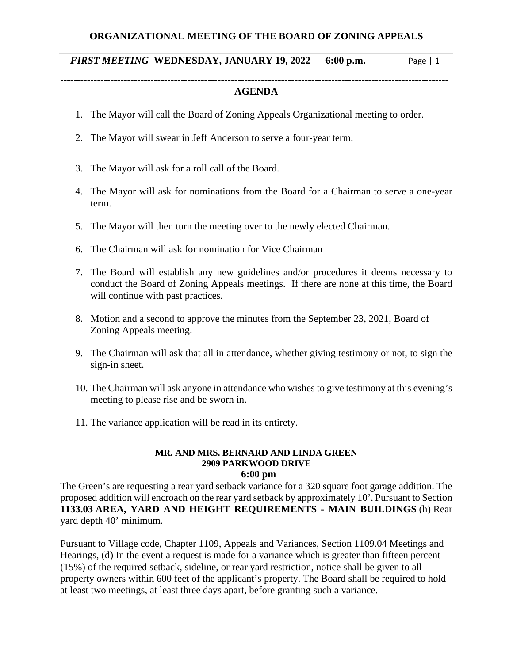## *FIRST MEETING* **WEDNESDAY, JANUARY 19, 2022 6:00 p.m.** Page | 1

## -------------------------------------------------------------------------------------------------------------------- **AGENDA**

- 1. The Mayor will call the Board of Zoning Appeals Organizational meeting to order.
- 2. The Mayor will swear in Jeff Anderson to serve a four-year term.
- 3. The Mayor will ask for a roll call of the Board.
- 4. The Mayor will ask for nominations from the Board for a Chairman to serve a one-year term.
- 5. The Mayor will then turn the meeting over to the newly elected Chairman.
- 6. The Chairman will ask for nomination for Vice Chairman
- 7. The Board will establish any new guidelines and/or procedures it deems necessary to conduct the Board of Zoning Appeals meetings. If there are none at this time, the Board will continue with past practices.
- 8. Motion and a second to approve the minutes from the September 23, 2021, Board of Zoning Appeals meeting.
- 9. The Chairman will ask that all in attendance, whether giving testimony or not, to sign the sign-in sheet.
- 10. The Chairman will ask anyone in attendance who wishes to give testimony at this evening's meeting to please rise and be sworn in.
- 11. The variance application will be read in its entirety.

## **MR. AND MRS. BERNARD AND LINDA GREEN 2909 PARKWOOD DRIVE 6:00 pm**

The Green's are requesting a rear yard setback variance for a 320 square foot garage addition. The proposed addition will encroach on the rear yard setback by approximately 10'. Pursuant to Section **1133.03 AREA, YARD AND HEIGHT REQUIREMENTS - MAIN BUILDINGS** (h) Rear yard depth 40' minimum.

Pursuant to Village code, Chapter 1109, Appeals and Variances, Section 1109.04 Meetings and Hearings, (d) In the event a request is made for a variance which is greater than fifteen percent (15%) of the required setback, sideline, or rear yard restriction, notice shall be given to all property owners within 600 feet of the applicant's property. The Board shall be required to hold at least two meetings, at least three days apart, before granting such a variance.